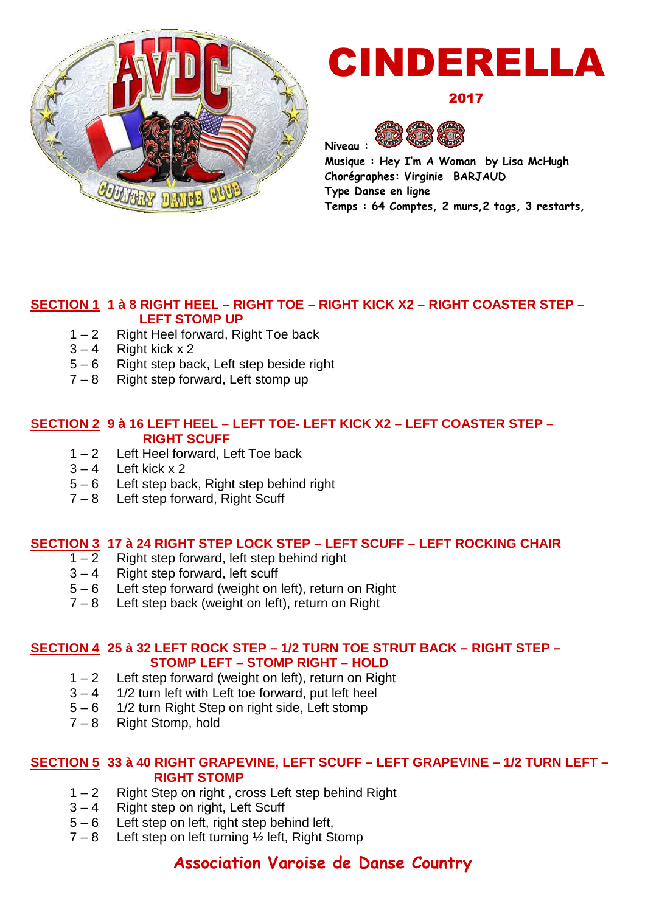

# CINDERELLA

2017



**Musique : Hey I'm A Woman by Lisa McHugh Chorégraphes: Virginie BARJAUD Type Danse en ligne Temps : 64 Comptes, 2 murs,2 tags, 3 restarts,**

#### **SECTION 1 1 à 8 RIGHT HEEL – RIGHT TOE – RIGHT KICK X2 – RIGHT COASTER STEP – LEFT STOMP UP**

- 1 2 Right Heel forward, Right Toe back
- $3 4$  Right kick x 2<br> $5 6$  Right step bay
- Right step back, Left step beside right
- 7 8 Right step forward, Left stomp up

#### **SECTION 2 9 à 16 LEFT HEEL – LEFT TOE- LEFT KICK X2 – LEFT COASTER STEP – RIGHT SCUFF**

- 1 2 Left Heel forward, Left Toe back
- $3 4$  Left kick x 2
- 5 6 Left step back, Right step behind right
- 7 8 Left step forward, Right Scuff

## **SECTION 3 17 à 24 RIGHT STEP LOCK STEP – LEFT SCUFF – LEFT ROCKING CHAIR**<br>1 – 2 Right step forward, left step behind right

- Right step forward, left step behind right
- $3 4$  Right step forward, left scuff
- 5 6 Left step forward (weight on left), return on Right
- 7 8 Left step back (weight on left), return on Right

#### **SECTION 4 25 à 32 LEFT ROCK STEP – 1/2 TURN TOE STRUT BACK – RIGHT STEP – STOMP LEFT – STOMP RIGHT – HOLD**

- $1 2$  Left step forward (weight on left), return on Right
- $3 4$  1/2 turn left with Left toe forward, put left heel
- 5 6 1/2 turn Right Step on right side, Left stomp
- 7 8 Right Stomp, hold

#### **SECTION 5 33 à 40 RIGHT GRAPEVINE, LEFT SCUFF – LEFT GRAPEVINE – 1/2 TURN LEFT – RIGHT STOMP**

- 1 2 Right Step on right , cross Left step behind Right
- 3 4 Right step on right, Left Scuff
- 5 6 Left step on left, right step behind left,
- $7 8$  Left step on left turning  $\frac{1}{2}$  left, Right Stomp

### **Association Varoise de Danse Country**